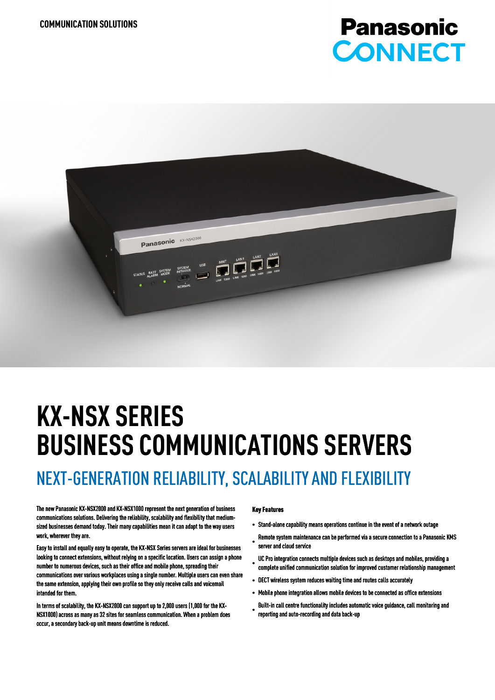



# **KX-NSX SERIES BUSINESS COMMUNICATIONS SERVERS**

### NEXT-GENERATION RELIABILITY, SCALABILITY AND FLEXIBILITY

The new Panasonic KX-NSX2000 and KX-NSX1000 represent the next generation of business communications solutions. Delivering the reliability, scalability and flexibility that mediumsized businesses demand today. Their many capabilities mean it can adapt to the way users work, wherever they are.

Easy to install and equally easy to operate, the KX-NSX Series servers are ideal for businesses looking to connect extensions, without relying on a specific location. Users can assign a phone number to numerous devices, such as their office and mobile phone, spreading their communications over various workplaces using a single number. Multiple users can even share the same extension, applying their own profile so they only receive calls and voicemail intended for them.

In terms of scalability, the KX-NSX2000 can support up to 2,000 users (1,000 for the KX-NSX1000) across as many as 32 sites for seamless communication. When a problem does occur, a secondary back-up unit means downtime is reduced.

#### **Key Features**

- Stand-alone capability means operations continue in the event of a network outage
- Remote system maintenance can be performed via a secure connection to a Panasonic KMS server and cloud service
- UC Pro integration connects multiple devices such as desktops and mobiles, providing a complete unified communication solution for improved customer relationship management
- DECT wireless system reduces waiting time and routes calls accurately
- Mobile phone integration allows mobile devices to be connected as office extensions
- Built-in call centre functionality includes automatic voice guidance, call monitoring and reporting and auto-recording and data back-up